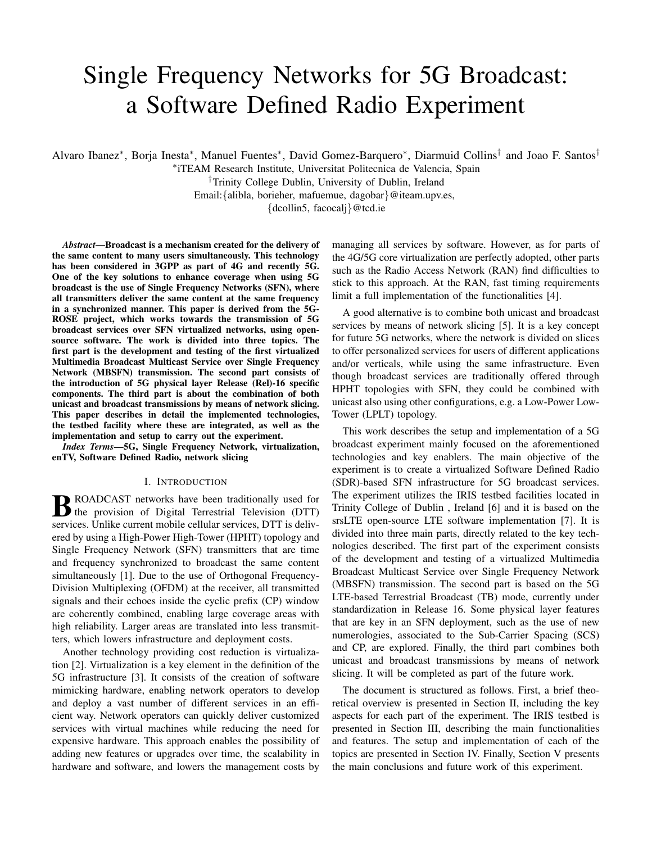# Single Frequency Networks for 5G Broadcast: a Software Defined Radio Experiment

Alvaro Ibanez\*, Borja Inesta\*, Manuel Fuentes\*, David Gomez-Barquero\*, Diarmuid Collins<sup>†</sup> and Joao F. Santos<sup>†</sup>

∗ iTEAM Research Institute, Universitat Politecnica de Valencia, Spain

†Trinity College Dublin, University of Dublin, Ireland Email:{alibla, borieher, mafuemue, dagobar}@iteam.upv.es,

{dcollin5, facocalj}@tcd.ie

*Abstract*—Broadcast is a mechanism created for the delivery of the same content to many users simultaneously. This technology has been considered in 3GPP as part of 4G and recently 5G. One of the key solutions to enhance coverage when using 5G broadcast is the use of Single Frequency Networks (SFN), where all transmitters deliver the same content at the same frequency in a synchronized manner. This paper is derived from the 5G-ROSE project, which works towards the transmission of 5G broadcast services over SFN virtualized networks, using opensource software. The work is divided into three topics. The first part is the development and testing of the first virtualized Multimedia Broadcast Multicast Service over Single Frequency Network (MBSFN) transmission. The second part consists of the introduction of 5G physical layer Release (Rel)-16 specific components. The third part is about the combination of both unicast and broadcast transmissions by means of network slicing. This paper describes in detail the implemented technologies, the testbed facility where these are integrated, as well as the implementation and setup to carry out the experiment.

*Index Terms*—5G, Single Frequency Network, virtualization, enTV, Software Defined Radio, network slicing

#### I. INTRODUCTION

**B** ROADCAST networks have been traditionally used for<br>the provision of Digital Terrestrial Television (DTT) the provision of Digital Terrestrial Television (DTT) services. Unlike current mobile cellular services, DTT is delivered by using a High-Power High-Tower (HPHT) topology and Single Frequency Network (SFN) transmitters that are time and frequency synchronized to broadcast the same content simultaneously [1]. Due to the use of Orthogonal Frequency-Division Multiplexing (OFDM) at the receiver, all transmitted signals and their echoes inside the cyclic prefix (CP) window are coherently combined, enabling large coverage areas with high reliability. Larger areas are translated into less transmitters, which lowers infrastructure and deployment costs.

Another technology providing cost reduction is virtualization [2]. Virtualization is a key element in the definition of the 5G infrastructure [3]. It consists of the creation of software mimicking hardware, enabling network operators to develop and deploy a vast number of different services in an efficient way. Network operators can quickly deliver customized services with virtual machines while reducing the need for expensive hardware. This approach enables the possibility of adding new features or upgrades over time, the scalability in hardware and software, and lowers the management costs by managing all services by software. However, as for parts of the 4G/5G core virtualization are perfectly adopted, other parts such as the Radio Access Network (RAN) find difficulties to stick to this approach. At the RAN, fast timing requirements limit a full implementation of the functionalities [4].

A good alternative is to combine both unicast and broadcast services by means of network slicing [5]. It is a key concept for future 5G networks, where the network is divided on slices to offer personalized services for users of different applications and/or verticals, while using the same infrastructure. Even though broadcast services are traditionally offered through HPHT topologies with SFN, they could be combined with unicast also using other configurations, e.g. a Low-Power Low-Tower (LPLT) topology.

This work describes the setup and implementation of a 5G broadcast experiment mainly focused on the aforementioned technologies and key enablers. The main objective of the experiment is to create a virtualized Software Defined Radio (SDR)-based SFN infrastructure for 5G broadcast services. The experiment utilizes the IRIS testbed facilities located in Trinity College of Dublin , Ireland [6] and it is based on the srsLTE open-source LTE software implementation [7]. It is divided into three main parts, directly related to the key technologies described. The first part of the experiment consists of the development and testing of a virtualized Multimedia Broadcast Multicast Service over Single Frequency Network (MBSFN) transmission. The second part is based on the 5G LTE-based Terrestrial Broadcast (TB) mode, currently under standardization in Release 16. Some physical layer features that are key in an SFN deployment, such as the use of new numerologies, associated to the Sub-Carrier Spacing (SCS) and CP, are explored. Finally, the third part combines both unicast and broadcast transmissions by means of network slicing. It will be completed as part of the future work.

The document is structured as follows. First, a brief theoretical overview is presented in Section II, including the key aspects for each part of the experiment. The IRIS testbed is presented in Section III, describing the main functionalities and features. The setup and implementation of each of the topics are presented in Section IV. Finally, Section V presents the main conclusions and future work of this experiment.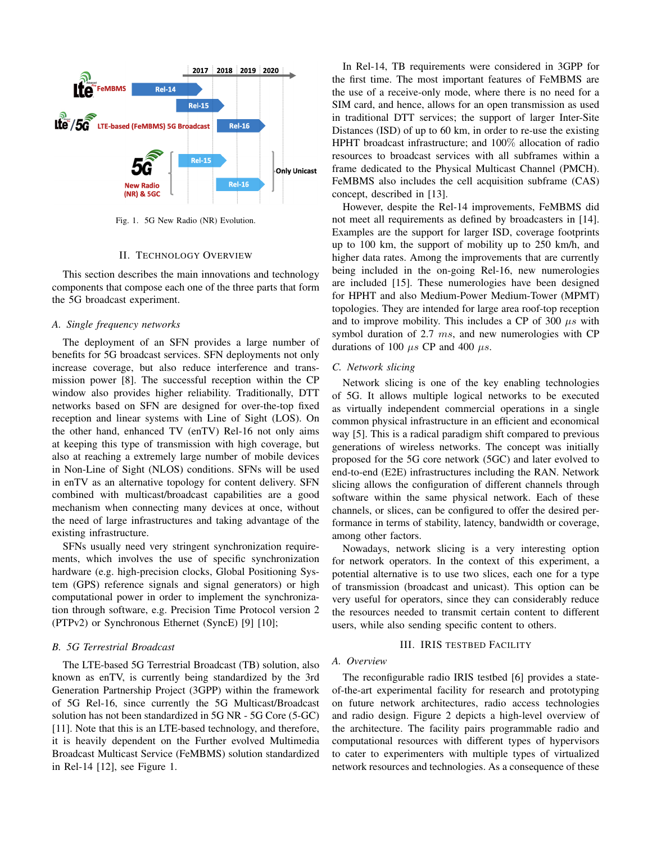

Fig. 1. 5G New Radio (NR) Evolution.

#### II. TECHNOLOGY OVERVIEW

This section describes the main innovations and technology components that compose each one of the three parts that form the 5G broadcast experiment.

#### *A. Single frequency networks*

The deployment of an SFN provides a large number of benefits for 5G broadcast services. SFN deployments not only increase coverage, but also reduce interference and transmission power [8]. The successful reception within the CP window also provides higher reliability. Traditionally, DTT networks based on SFN are designed for over-the-top fixed reception and linear systems with Line of Sight (LOS). On the other hand, enhanced TV (enTV) Rel-16 not only aims at keeping this type of transmission with high coverage, but also at reaching a extremely large number of mobile devices in Non-Line of Sight (NLOS) conditions. SFNs will be used in enTV as an alternative topology for content delivery. SFN combined with multicast/broadcast capabilities are a good mechanism when connecting many devices at once, without the need of large infrastructures and taking advantage of the existing infrastructure.

SFNs usually need very stringent synchronization requirements, which involves the use of specific synchronization hardware (e.g. high-precision clocks, Global Positioning System (GPS) reference signals and signal generators) or high computational power in order to implement the synchronization through software, e.g. Precision Time Protocol version 2 (PTPv2) or Synchronous Ethernet (SyncE) [9] [10];

# *B. 5G Terrestrial Broadcast*

The LTE-based 5G Terrestrial Broadcast (TB) solution, also known as enTV, is currently being standardized by the 3rd Generation Partnership Project (3GPP) within the framework of 5G Rel-16, since currently the 5G Multicast/Broadcast solution has not been standardized in 5G NR - 5G Core (5-GC) [11]. Note that this is an LTE-based technology, and therefore, it is heavily dependent on the Further evolved Multimedia Broadcast Multicast Service (FeMBMS) solution standardized in Rel-14 [12], see Figure 1.

In Rel-14, TB requirements were considered in 3GPP for the first time. The most important features of FeMBMS are the use of a receive-only mode, where there is no need for a SIM card, and hence, allows for an open transmission as used in traditional DTT services; the support of larger Inter-Site Distances (ISD) of up to 60 km, in order to re-use the existing HPHT broadcast infrastructure; and 100% allocation of radio resources to broadcast services with all subframes within a frame dedicated to the Physical Multicast Channel (PMCH). FeMBMS also includes the cell acquisition subframe (CAS) concept, described in [13].

However, despite the Rel-14 improvements, FeMBMS did not meet all requirements as defined by broadcasters in [14]. Examples are the support for larger ISD, coverage footprints up to 100 km, the support of mobility up to 250 km/h, and higher data rates. Among the improvements that are currently being included in the on-going Rel-16, new numerologies are included [15]. These numerologies have been designed for HPHT and also Medium-Power Medium-Tower (MPMT) topologies. They are intended for large area roof-top reception and to improve mobility. This includes a CP of 300  $\mu s$  with symbol duration of 2.7 ms, and new numerologies with CP durations of 100  $\mu$ s CP and 400  $\mu$ s.

# *C. Network slicing*

Network slicing is one of the key enabling technologies of 5G. It allows multiple logical networks to be executed as virtually independent commercial operations in a single common physical infrastructure in an efficient and economical way [5]. This is a radical paradigm shift compared to previous generations of wireless networks. The concept was initially proposed for the 5G core network (5GC) and later evolved to end-to-end (E2E) infrastructures including the RAN. Network slicing allows the configuration of different channels through software within the same physical network. Each of these channels, or slices, can be configured to offer the desired performance in terms of stability, latency, bandwidth or coverage, among other factors.

Nowadays, network slicing is a very interesting option for network operators. In the context of this experiment, a potential alternative is to use two slices, each one for a type of transmission (broadcast and unicast). This option can be very useful for operators, since they can considerably reduce the resources needed to transmit certain content to different users, while also sending specific content to others.

# III. IRIS TESTBED FACILITY

## *A. Overview*

The reconfigurable radio IRIS testbed [6] provides a stateof-the-art experimental facility for research and prototyping on future network architectures, radio access technologies and radio design. Figure 2 depicts a high-level overview of the architecture. The facility pairs programmable radio and computational resources with different types of hypervisors to cater to experimenters with multiple types of virtualized network resources and technologies. As a consequence of these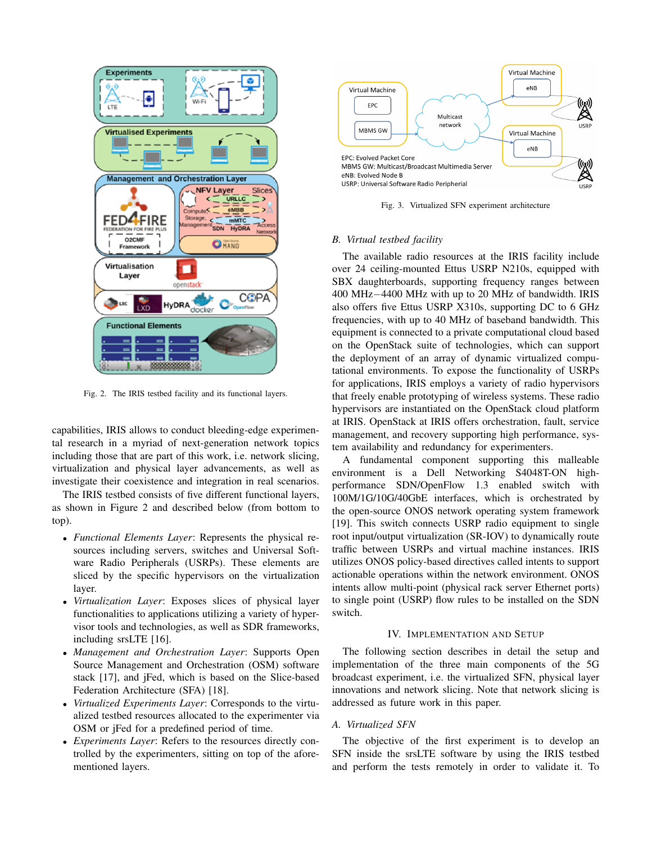

Fig. 2. The IRIS testbed facility and its functional layers.

capabilities, IRIS allows to conduct bleeding-edge experimental research in a myriad of next-generation network topics including those that are part of this work, i.e. network slicing, virtualization and physical layer advancements, as well as investigate their coexistence and integration in real scenarios.

The IRIS testbed consists of five different functional layers, as shown in Figure 2 and described below (from bottom to top).

- *Functional Elements Layer*: Represents the physical resources including servers, switches and Universal Software Radio Peripherals (USRPs). These elements are sliced by the specific hypervisors on the virtualization layer.
- *Virtualization Layer*: Exposes slices of physical layer functionalities to applications utilizing a variety of hypervisor tools and technologies, as well as SDR frameworks, including srsLTE [16].
- *Management and Orchestration Layer*: Supports Open Source Management and Orchestration (OSM) software stack [17], and jFed, which is based on the Slice-based Federation Architecture (SFA) [18].
- *Virtualized Experiments Layer*: Corresponds to the virtualized testbed resources allocated to the experimenter via OSM or jFed for a predefined period of time.
- *Experiments Layer*: Refers to the resources directly controlled by the experimenters, sitting on top of the aforementioned layers.



Fig. 3. Virtualized SFN experiment architecture

# *B. Virtual testbed facility*

The available radio resources at the IRIS facility include over 24 ceiling-mounted Ettus USRP N210s, equipped with SBX daughterboards, supporting frequency ranges between 400 MHz−4400 MHz with up to 20 MHz of bandwidth. IRIS also offers five Ettus USRP X310s, supporting DC to 6 GHz frequencies, with up to 40 MHz of baseband bandwidth. This equipment is connected to a private computational cloud based on the OpenStack suite of technologies, which can support the deployment of an array of dynamic virtualized computational environments. To expose the functionality of USRPs for applications, IRIS employs a variety of radio hypervisors that freely enable prototyping of wireless systems. These radio hypervisors are instantiated on the OpenStack cloud platform at IRIS. OpenStack at IRIS offers orchestration, fault, service management, and recovery supporting high performance, system availability and redundancy for experimenters.

A fundamental component supporting this malleable environment is a Dell Networking S4048T-ON highperformance SDN/OpenFlow 1.3 enabled switch with 100M/1G/10G/40GbE interfaces, which is orchestrated by the open-source ONOS network operating system framework [19]. This switch connects USRP radio equipment to single root input/output virtualization (SR-IOV) to dynamically route traffic between USRPs and virtual machine instances. IRIS utilizes ONOS policy-based directives called intents to support actionable operations within the network environment. ONOS intents allow multi-point (physical rack server Ethernet ports) to single point (USRP) flow rules to be installed on the SDN switch.

#### IV. IMPLEMENTATION AND SETUP

The following section describes in detail the setup and implementation of the three main components of the 5G broadcast experiment, i.e. the virtualized SFN, physical layer innovations and network slicing. Note that network slicing is addressed as future work in this paper.

## *A. Virtualized SFN*

The objective of the first experiment is to develop an SFN inside the srsLTE software by using the IRIS testbed and perform the tests remotely in order to validate it. To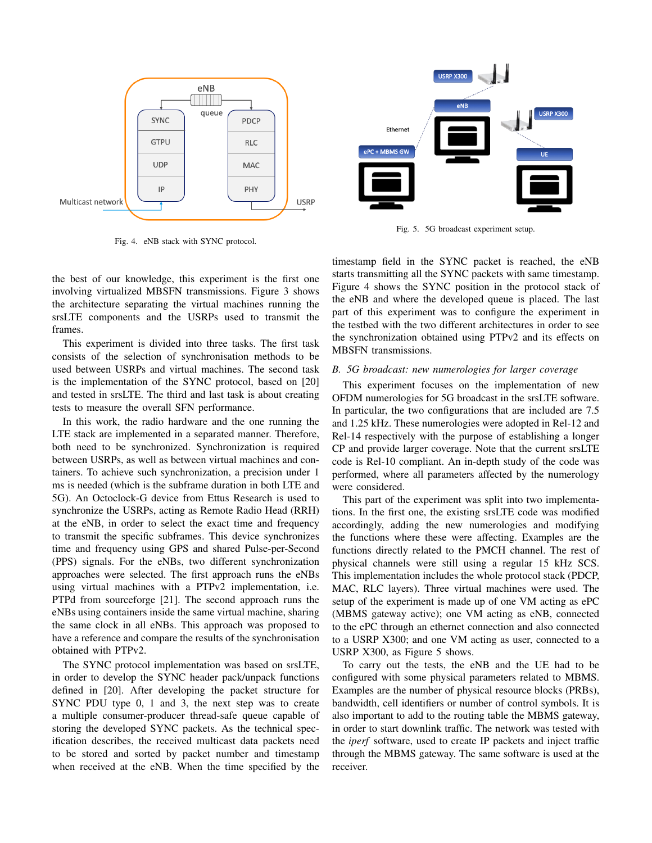

Fig. 4. eNB stack with SYNC protocol.

the best of our knowledge, this experiment is the first one involving virtualized MBSFN transmissions. Figure 3 shows the architecture separating the virtual machines running the srsLTE components and the USRPs used to transmit the frames.

This experiment is divided into three tasks. The first task consists of the selection of synchronisation methods to be used between USRPs and virtual machines. The second task is the implementation of the SYNC protocol, based on [20] and tested in srsLTE. The third and last task is about creating tests to measure the overall SFN performance.

In this work, the radio hardware and the one running the LTE stack are implemented in a separated manner. Therefore, both need to be synchronized. Synchronization is required between USRPs, as well as between virtual machines and containers. To achieve such synchronization, a precision under 1 ms is needed (which is the subframe duration in both LTE and 5G). An Octoclock-G device from Ettus Research is used to synchronize the USRPs, acting as Remote Radio Head (RRH) at the eNB, in order to select the exact time and frequency to transmit the specific subframes. This device synchronizes time and frequency using GPS and shared Pulse-per-Second (PPS) signals. For the eNBs, two different synchronization approaches were selected. The first approach runs the eNBs using virtual machines with a PTPv2 implementation, i.e. PTPd from sourceforge [21]. The second approach runs the eNBs using containers inside the same virtual machine, sharing the same clock in all eNBs. This approach was proposed to have a reference and compare the results of the synchronisation obtained with PTPv2.

The SYNC protocol implementation was based on srsLTE, in order to develop the SYNC header pack/unpack functions defined in [20]. After developing the packet structure for SYNC PDU type 0, 1 and 3, the next step was to create a multiple consumer-producer thread-safe queue capable of storing the developed SYNC packets. As the technical specification describes, the received multicast data packets need to be stored and sorted by packet number and timestamp when received at the eNB. When the time specified by the



Fig. 5. 5G broadcast experiment setup.

timestamp field in the SYNC packet is reached, the eNB starts transmitting all the SYNC packets with same timestamp. Figure 4 shows the SYNC position in the protocol stack of the eNB and where the developed queue is placed. The last part of this experiment was to configure the experiment in the testbed with the two different architectures in order to see the synchronization obtained using PTPv2 and its effects on MBSFN transmissions.

## *B. 5G broadcast: new numerologies for larger coverage*

This experiment focuses on the implementation of new OFDM numerologies for 5G broadcast in the srsLTE software. In particular, the two configurations that are included are 7.5 and 1.25 kHz. These numerologies were adopted in Rel-12 and Rel-14 respectively with the purpose of establishing a longer CP and provide larger coverage. Note that the current srsLTE code is Rel-10 compliant. An in-depth study of the code was performed, where all parameters affected by the numerology were considered.

This part of the experiment was split into two implementations. In the first one, the existing srsLTE code was modified accordingly, adding the new numerologies and modifying the functions where these were affecting. Examples are the functions directly related to the PMCH channel. The rest of physical channels were still using a regular 15 kHz SCS. This implementation includes the whole protocol stack (PDCP, MAC, RLC layers). Three virtual machines were used. The setup of the experiment is made up of one VM acting as ePC (MBMS gateway active); one VM acting as eNB, connected to the ePC through an ethernet connection and also connected to a USRP X300; and one VM acting as user, connected to a USRP X300, as Figure 5 shows.

To carry out the tests, the eNB and the UE had to be configured with some physical parameters related to MBMS. Examples are the number of physical resource blocks (PRBs), bandwidth, cell identifiers or number of control symbols. It is also important to add to the routing table the MBMS gateway, in order to start downlink traffic. The network was tested with the *iperf* software, used to create IP packets and inject traffic through the MBMS gateway. The same software is used at the receiver.